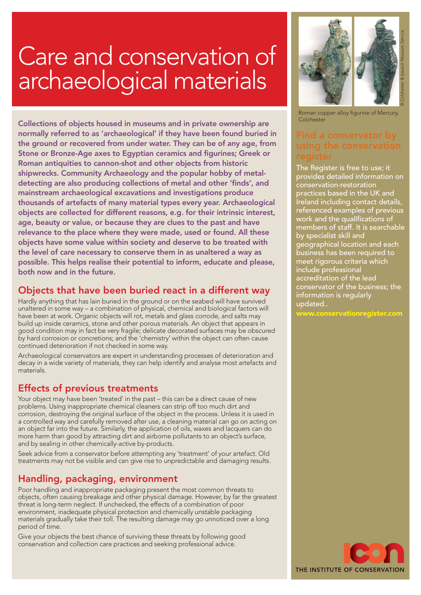# Care and conservation of archaeological materials

Collections of objects housed in museums and in private ownership are normally referred to as 'archaeological' if they have been found buried in the ground or recovered from under water. They can be of any age, from Stone or Bronze-Age axes to Egyptian ceramics and figurines; Greek or Roman antiquities to cannon-shot and other objects from historic shipwrecks. Community Archaeology and the popular hobby of metaldetecting are also producing collections of metal and other 'finds', and mainstream archaeological excavations and investigations produce thousands of artefacts of many material types every year. Archaeological objects are collected for different reasons, e.g. for their intrinsic interest, age, beauty or value, or because they are clues to the past and have relevance to the place where they were made, used or found. All these objects have some value within society and deserve to be treated with the level of care necessary to conserve them in as unaltered a way as possible. This helps realise their potential to inform, educate and please, both now and in the future.

## Objects that have been buried react in a different way

Hardly anything that has lain buried in the ground or on the seabed will have survived unaltered in some way – a combination of physical, chemical and biological factors will have been at work. Organic objects will rot, metals and glass corrode, and salts may build up inside ceramics, stone and other porous materials. An object that appears in good condition may in fact be very fragile; delicate decorated surfaces may be obscured by hard corrosion or concretions; and the 'chemistry' within the object can often cause continued deterioration if not checked in some way.

Archaeological conservators are expert in understanding processes of deterioration and decay in a wide variety of materials, they can help identify and analyse most artefacts and materials.

### Effects of previous treatments

Your object may have been 'treated' in the past – this can be a direct cause of new problems. Using inappropriate chemical cleaners can strip off too much dirt and corrosion, destroying the original surface of the object in the process. Unless it is used in a controlled way and carefully removed after use, a cleaning material can go on acting on an object far into the future. Similarly, the application of oils, waxes and lacquers can do more harm than good by attracting dirt and airborne pollutants to an object's surface, and by sealing in other chemically-active by-products.

Seek advice from a conservator before attempting any 'treatment' of your artefact. Old treatments may not be visible and can give rise to unpredictable and damaging results.

## Handling, packaging, environment

Poor handling and inappropriate packaging present the most common threats to objects, often causing breakage and other physical damage. However, by far the greatest threat is long-term neglect. If unchecked, the effects of a combination of poor environment, inadequate physical protection and chemically unstable packaging materials gradually take their toll. The resulting damage may go unnoticed over a long period of time.

Give your objects the best chance of surviving these threats by following good conservation and collection care practices and seeking professional advice.



Roman copper alloy figurine of Mercury, **Colchester** 

The Register is free to use; it provides detailed information on conservation-restoration practices based in the UK and Ireland including contact details, referenced examples of previous work and the qualifications of members of staff. It is searchable by specialist skill and geographical location and each business has been required to meet rigorous criteria which include professional accreditation of the lead conservator of the business; the information is regularly updated..

www.conservationregister.com